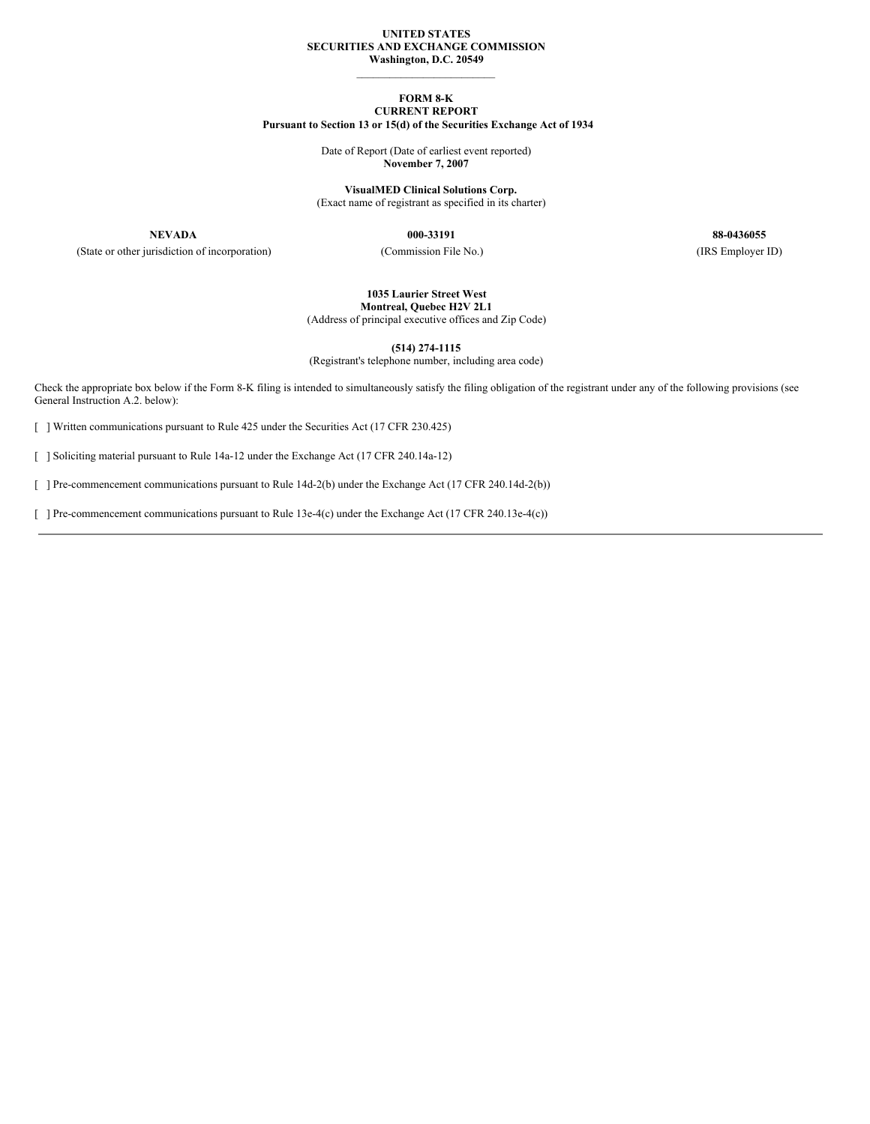## **UNITED STATES SECURITIES AND EXCHANGE COMMISSION Washington, D.C. 20549**

\_\_\_\_\_\_\_\_\_\_\_\_\_\_\_\_\_\_\_\_\_\_\_\_\_

## **FORM 8-K CURRENT REPORT Pursuant to Section 13 or 15(d) of the Securities Exchange Act of 1934**

Date of Report (Date of earliest event reported) **November 7, 2007**

**VisualMED Clinical Solutions Corp.** (Exact name of registrant as specified in its charter)

(State or other jurisdiction of incorporation) (Commission File No.) (IRS Employer ID)

**NEVADA 000-33191 88-0436055**

**1035 Laurier Street West**

**Montreal, Quebec H2V 2L1** (Address of principal executive offices and Zip Code)

**(514) 274-1115**

(Registrant's telephone number, including area code)

Check the appropriate box below if the Form 8-K filing is intended to simultaneously satisfy the filing obligation of the registrant under any of the following provisions (see General Instruction A.2. below):

[ ] Written communications pursuant to Rule 425 under the Securities Act (17 CFR 230.425)

[ ] Soliciting material pursuant to Rule 14a-12 under the Exchange Act (17 CFR 240.14a-12)

[ ] Pre-commencement communications pursuant to Rule 14d-2(b) under the Exchange Act (17 CFR 240.14d-2(b))

[ ] Pre-commencement communications pursuant to Rule 13e-4(c) under the Exchange Act (17 CFR 240.13e-4(c))